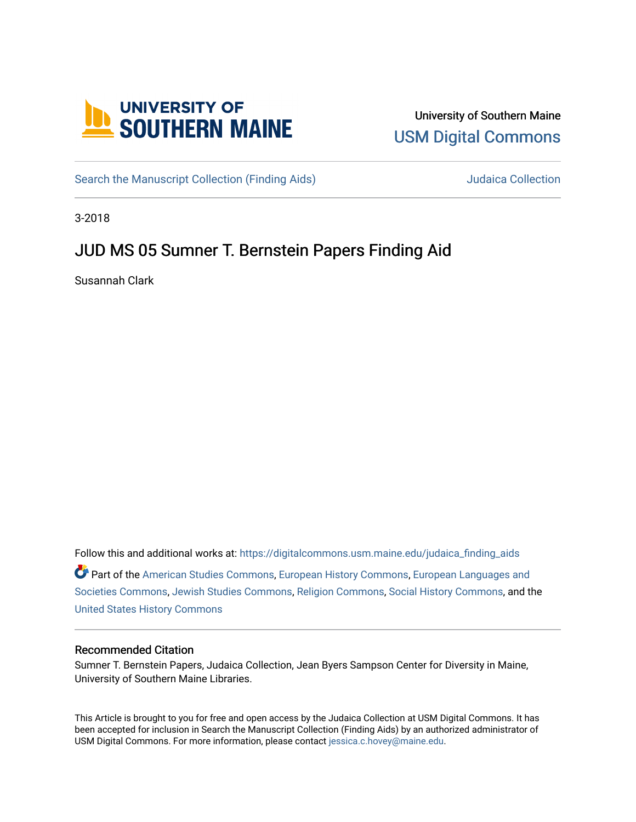

# University of Southern Maine [USM Digital Commons](https://digitalcommons.usm.maine.edu/)

[Search the Manuscript Collection \(Finding Aids\)](https://digitalcommons.usm.maine.edu/judaica_finding_aids) Search the Manuscript Collection

3-2018

# JUD MS 05 Sumner T. Bernstein Papers Finding Aid

Susannah Clark

Follow this and additional works at: [https://digitalcommons.usm.maine.edu/judaica\\_finding\\_aids](https://digitalcommons.usm.maine.edu/judaica_finding_aids?utm_source=digitalcommons.usm.maine.edu%2Fjudaica_finding_aids%2F5&utm_medium=PDF&utm_campaign=PDFCoverPages) 

Part of the [American Studies Commons](http://network.bepress.com/hgg/discipline/439?utm_source=digitalcommons.usm.maine.edu%2Fjudaica_finding_aids%2F5&utm_medium=PDF&utm_campaign=PDFCoverPages), [European History Commons](http://network.bepress.com/hgg/discipline/492?utm_source=digitalcommons.usm.maine.edu%2Fjudaica_finding_aids%2F5&utm_medium=PDF&utm_campaign=PDFCoverPages), [European Languages and](http://network.bepress.com/hgg/discipline/482?utm_source=digitalcommons.usm.maine.edu%2Fjudaica_finding_aids%2F5&utm_medium=PDF&utm_campaign=PDFCoverPages) [Societies Commons](http://network.bepress.com/hgg/discipline/482?utm_source=digitalcommons.usm.maine.edu%2Fjudaica_finding_aids%2F5&utm_medium=PDF&utm_campaign=PDFCoverPages), [Jewish Studies Commons](http://network.bepress.com/hgg/discipline/479?utm_source=digitalcommons.usm.maine.edu%2Fjudaica_finding_aids%2F5&utm_medium=PDF&utm_campaign=PDFCoverPages), [Religion Commons](http://network.bepress.com/hgg/discipline/538?utm_source=digitalcommons.usm.maine.edu%2Fjudaica_finding_aids%2F5&utm_medium=PDF&utm_campaign=PDFCoverPages), [Social History Commons,](http://network.bepress.com/hgg/discipline/506?utm_source=digitalcommons.usm.maine.edu%2Fjudaica_finding_aids%2F5&utm_medium=PDF&utm_campaign=PDFCoverPages) and the [United States History Commons](http://network.bepress.com/hgg/discipline/495?utm_source=digitalcommons.usm.maine.edu%2Fjudaica_finding_aids%2F5&utm_medium=PDF&utm_campaign=PDFCoverPages)

#### Recommended Citation

Sumner T. Bernstein Papers, Judaica Collection, Jean Byers Sampson Center for Diversity in Maine, University of Southern Maine Libraries.

This Article is brought to you for free and open access by the Judaica Collection at USM Digital Commons. It has been accepted for inclusion in Search the Manuscript Collection (Finding Aids) by an authorized administrator of USM Digital Commons. For more information, please contact [jessica.c.hovey@maine.edu](mailto:ian.fowler@maine.edu).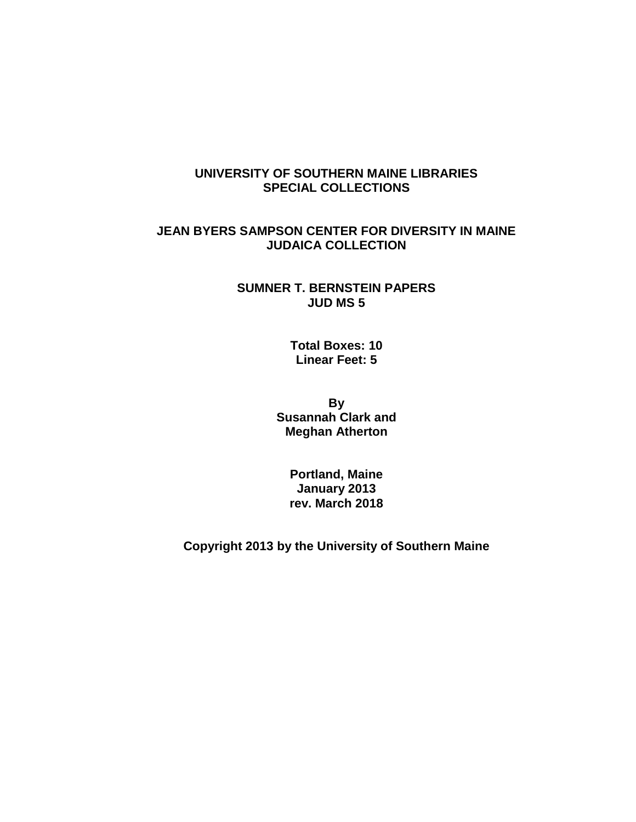# **UNIVERSITY OF SOUTHERN MAINE LIBRARIES SPECIAL COLLECTIONS**

# **JEAN BYERS SAMPSON CENTER FOR DIVERSITY IN MAINE JUDAICA COLLECTION**

## **SUMNER T. BERNSTEIN PAPERS JUD MS 5**

**Total Boxes: 10 Linear Feet: 5**

**By Susannah Clark and Meghan Atherton**

> **Portland, Maine January 2013 rev. March 2018**

**Copyright 2013 by the University of Southern Maine**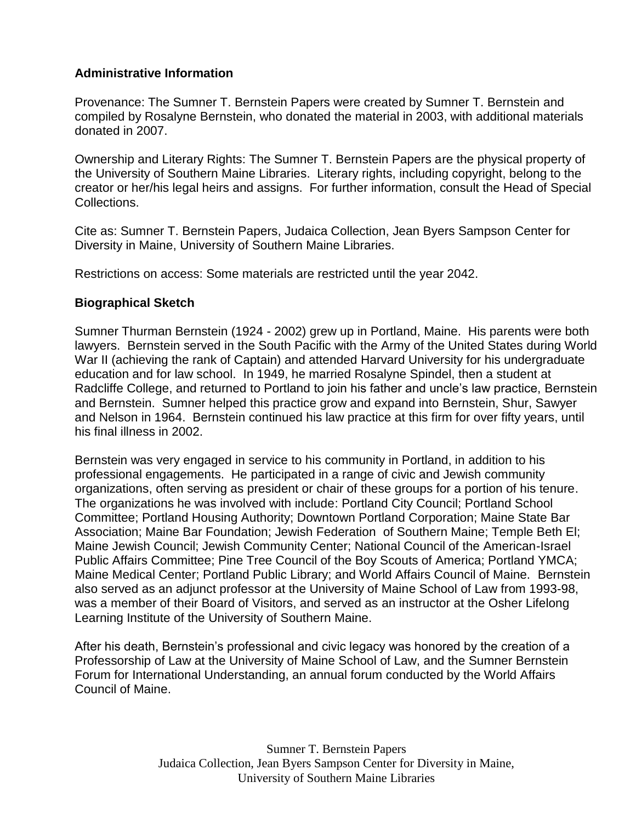# **Administrative Information**

Provenance: The Sumner T. Bernstein Papers were created by Sumner T. Bernstein and compiled by Rosalyne Bernstein, who donated the material in 2003, with additional materials donated in 2007.

Ownership and Literary Rights: The Sumner T. Bernstein Papers are the physical property of the University of Southern Maine Libraries. Literary rights, including copyright, belong to the creator or her/his legal heirs and assigns. For further information, consult the Head of Special Collections.

Cite as: Sumner T. Bernstein Papers, Judaica Collection, Jean Byers Sampson Center for Diversity in Maine, University of Southern Maine Libraries.

Restrictions on access: Some materials are restricted until the year 2042.

# **Biographical Sketch**

Sumner Thurman Bernstein (1924 - 2002) grew up in Portland, Maine. His parents were both lawyers. Bernstein served in the South Pacific with the Army of the United States during World War II (achieving the rank of Captain) and attended Harvard University for his undergraduate education and for law school. In 1949, he married Rosalyne Spindel, then a student at Radcliffe College, and returned to Portland to join his father and uncle's law practice, Bernstein and Bernstein. Sumner helped this practice grow and expand into Bernstein, Shur, Sawyer and Nelson in 1964. Bernstein continued his law practice at this firm for over fifty years, until his final illness in 2002.

Bernstein was very engaged in service to his community in Portland, in addition to his professional engagements. He participated in a range of civic and Jewish community organizations, often serving as president or chair of these groups for a portion of his tenure. The organizations he was involved with include: Portland City Council; Portland School Committee; Portland Housing Authority; Downtown Portland Corporation; Maine State Bar Association; Maine Bar Foundation; Jewish Federation of Southern Maine; Temple Beth El; Maine Jewish Council; Jewish Community Center; National Council of the American-Israel Public Affairs Committee; Pine Tree Council of the Boy Scouts of America; Portland YMCA; Maine Medical Center; Portland Public Library; and World Affairs Council of Maine. Bernstein also served as an adjunct professor at the University of Maine School of Law from 1993-98, was a member of their Board of Visitors, and served as an instructor at the Osher Lifelong Learning Institute of the University of Southern Maine.

After his death, Bernstein's professional and civic legacy was honored by the creation of a Professorship of Law at the University of Maine School of Law, and the Sumner Bernstein Forum for International Understanding, an annual forum conducted by the World Affairs Council of Maine.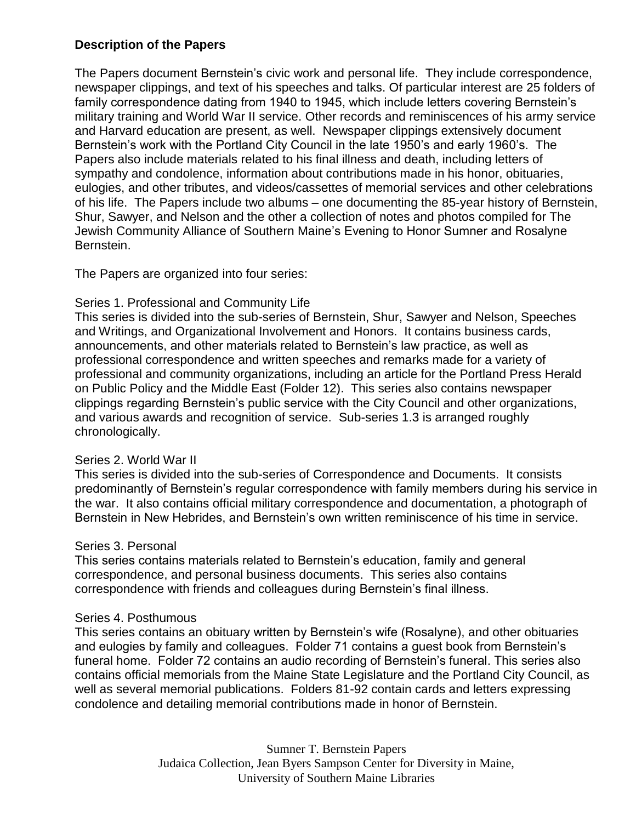# **Description of the Papers**

The Papers document Bernstein's civic work and personal life. They include correspondence, newspaper clippings, and text of his speeches and talks. Of particular interest are 25 folders of family correspondence dating from 1940 to 1945, which include letters covering Bernstein's military training and World War II service. Other records and reminiscences of his army service and Harvard education are present, as well. Newspaper clippings extensively document Bernstein's work with the Portland City Council in the late 1950's and early 1960's. The Papers also include materials related to his final illness and death, including letters of sympathy and condolence, information about contributions made in his honor, obituaries, eulogies, and other tributes, and videos/cassettes of memorial services and other celebrations of his life. The Papers include two albums – one documenting the 85-year history of Bernstein, Shur, Sawyer, and Nelson and the other a collection of notes and photos compiled for The Jewish Community Alliance of Southern Maine's Evening to Honor Sumner and Rosalyne Bernstein.

The Papers are organized into four series:

## Series 1. Professional and Community Life

This series is divided into the sub-series of Bernstein, Shur, Sawyer and Nelson, Speeches and Writings, and Organizational Involvement and Honors. It contains business cards, announcements, and other materials related to Bernstein's law practice, as well as professional correspondence and written speeches and remarks made for a variety of professional and community organizations, including an article for the Portland Press Herald on Public Policy and the Middle East (Folder 12). This series also contains newspaper clippings regarding Bernstein's public service with the City Council and other organizations, and various awards and recognition of service. Sub-series 1.3 is arranged roughly chronologically.

#### Series 2. World War II

This series is divided into the sub-series of Correspondence and Documents. It consists predominantly of Bernstein's regular correspondence with family members during his service in the war. It also contains official military correspondence and documentation, a photograph of Bernstein in New Hebrides, and Bernstein's own written reminiscence of his time in service.

#### Series 3. Personal

This series contains materials related to Bernstein's education, family and general correspondence, and personal business documents. This series also contains correspondence with friends and colleagues during Bernstein's final illness.

#### Series 4. Posthumous

This series contains an obituary written by Bernstein's wife (Rosalyne), and other obituaries and eulogies by family and colleagues. Folder 71 contains a guest book from Bernstein's funeral home. Folder 72 contains an audio recording of Bernstein's funeral. This series also contains official memorials from the Maine State Legislature and the Portland City Council, as well as several memorial publications. Folders 81-92 contain cards and letters expressing condolence and detailing memorial contributions made in honor of Bernstein.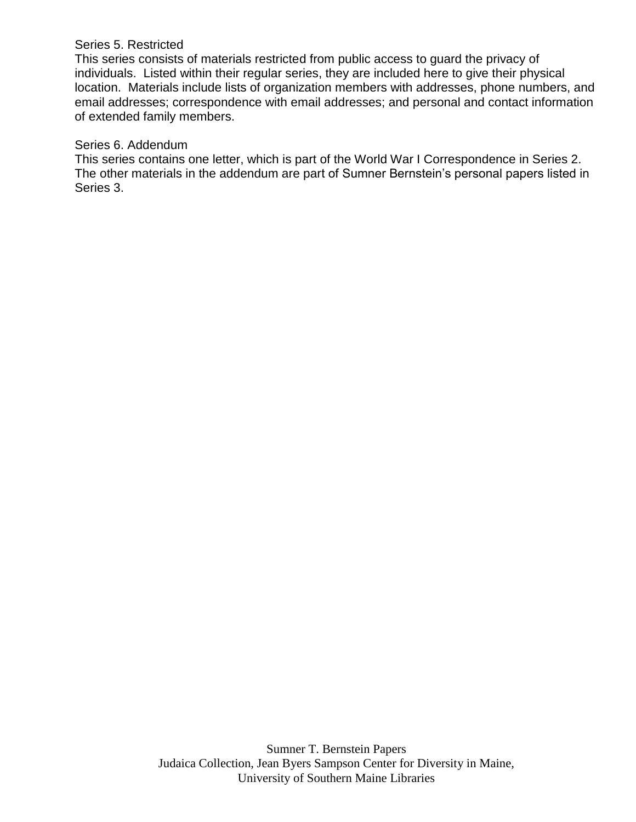### Series 5. Restricted

This series consists of materials restricted from public access to guard the privacy of individuals. Listed within their regular series, they are included here to give their physical location. Materials include lists of organization members with addresses, phone numbers, and email addresses; correspondence with email addresses; and personal and contact information of extended family members.

## Series 6. Addendum

This series contains one letter, which is part of the World War I Correspondence in Series 2. The other materials in the addendum are part of Sumner Bernstein's personal papers listed in Series 3.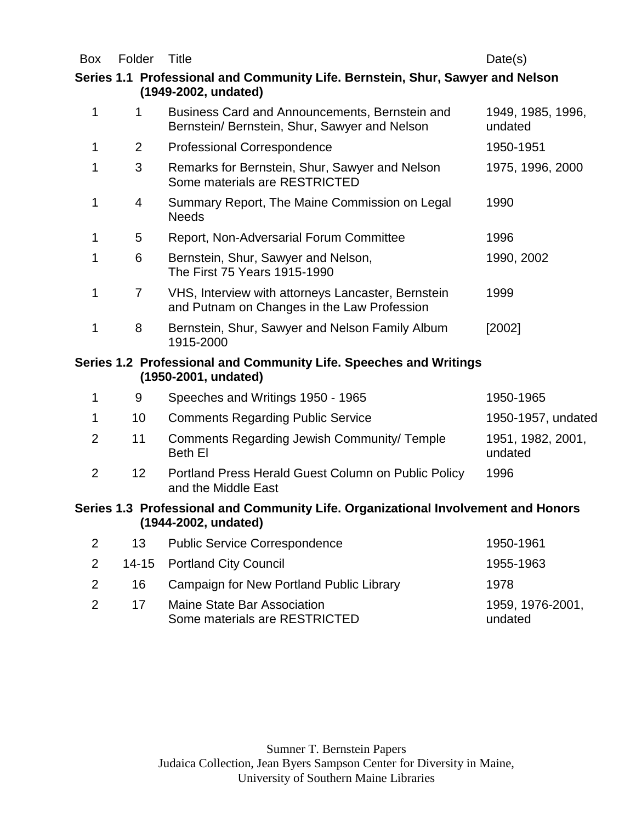Box Folder Title **Date(s)** 

# **Series 1.1 Professional and Community Life. Bernstein, Shur, Sawyer and Nelson (1949-2002, undated)**

| 1              | 1               | Business Card and Announcements, Bernstein and<br>Bernstein/ Bernstein, Shur, Sawyer and Nelson           | 1949, 1985, 1996,<br>undated |
|----------------|-----------------|-----------------------------------------------------------------------------------------------------------|------------------------------|
| 1              | $\overline{2}$  | <b>Professional Correspondence</b>                                                                        | 1950-1951                    |
| 1              | 3               | Remarks for Bernstein, Shur, Sawyer and Nelson<br>Some materials are RESTRICTED                           | 1975, 1996, 2000             |
| 1              | 4               | Summary Report, The Maine Commission on Legal<br><b>Needs</b>                                             | 1990                         |
| 1              | 5               | Report, Non-Adversarial Forum Committee                                                                   | 1996                         |
| 1              | 6               | Bernstein, Shur, Sawyer and Nelson,<br>The First 75 Years 1915-1990                                       | 1990, 2002                   |
| 1              | 7               | VHS, Interview with attorneys Lancaster, Bernstein<br>and Putnam on Changes in the Law Profession         | 1999                         |
| 1              | 8               | Bernstein, Shur, Sawyer and Nelson Family Album<br>1915-2000                                              | [2002]                       |
|                |                 | Series 1.2 Professional and Community Life. Speeches and Writings<br>(1950-2001, undated)                 |                              |
| 1              | 9               | Speeches and Writings 1950 - 1965                                                                         | 1950-1965                    |
| 1              | 10              | <b>Comments Regarding Public Service</b>                                                                  | 1950-1957, undated           |
| $\overline{2}$ | 11              | Comments Regarding Jewish Community/Temple<br><b>Beth El</b>                                              | 1951, 1982, 2001,<br>undated |
| $\overline{2}$ | 12 <sup>2</sup> | Portland Press Herald Guest Column on Public Policy<br>and the Middle East                                | 1996                         |
|                |                 | Series 1.3 Professional and Community Life. Organizational Involvement and Honors<br>(1944-2002, undated) |                              |
| $\overline{2}$ | 13              | <b>Public Service Correspondence</b>                                                                      | 1950-1961                    |
| 2              | $14 - 15$       | <b>Portland City Council</b>                                                                              | 1955-1963                    |
| $\overline{2}$ | 16              | Campaign for New Portland Public Library                                                                  | 1978                         |

|  | . .                           |                  |
|--|-------------------------------|------------------|
|  | Maine State Bar Association   | 1959, 1976-2001, |
|  | Some materials are RESTRICTED | undated          |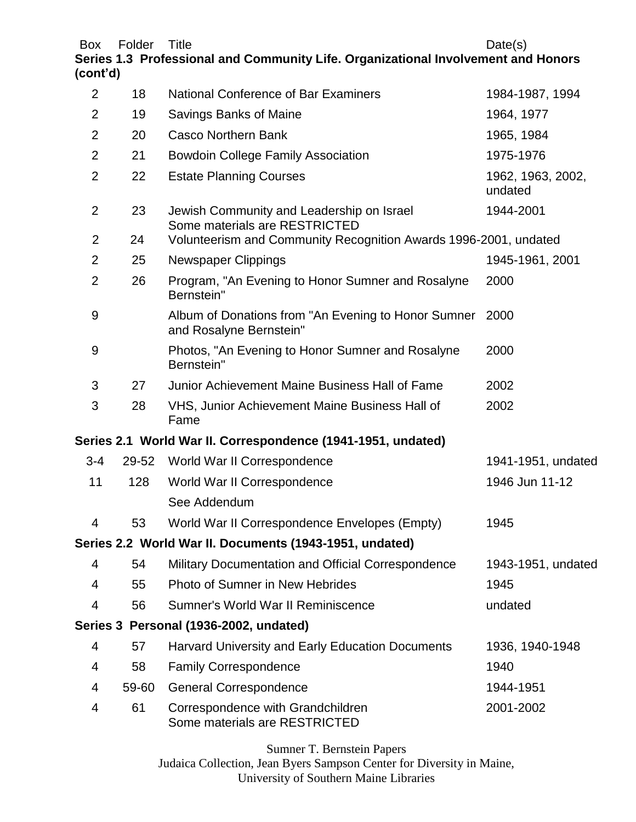Box Folder Title **Date(s)** 

**Series 1.3 Professional and Community Life. Organizational Involvement and Honors (cont'd)**

| $\overline{2}$ | 18    | <b>National Conference of Bar Examiners</b>                                    | 1984-1987, 1994              |
|----------------|-------|--------------------------------------------------------------------------------|------------------------------|
| 2              | 19    | Savings Banks of Maine                                                         | 1964, 1977                   |
| $\overline{2}$ | 20    | <b>Casco Northern Bank</b>                                                     | 1965, 1984                   |
| $\overline{2}$ | 21    | <b>Bowdoin College Family Association</b>                                      | 1975-1976                    |
| $\overline{2}$ | 22    | <b>Estate Planning Courses</b>                                                 | 1962, 1963, 2002,<br>undated |
| 2              | 23    | Jewish Community and Leadership on Israel<br>Some materials are RESTRICTED     | 1944-2001                    |
| $\overline{2}$ | 24    | Volunteerism and Community Recognition Awards 1996-2001, undated               |                              |
| $\overline{2}$ | 25    | <b>Newspaper Clippings</b>                                                     | 1945-1961, 2001              |
| $\overline{2}$ | 26    | Program, "An Evening to Honor Sumner and Rosalyne<br>Bernstein"                | 2000                         |
| 9              |       | Album of Donations from "An Evening to Honor Sumner<br>and Rosalyne Bernstein" | 2000                         |
| 9              |       | Photos, "An Evening to Honor Sumner and Rosalyne<br>Bernstein"                 | 2000                         |
| 3              | 27    | Junior Achievement Maine Business Hall of Fame                                 | 2002                         |
| 3              | 28    | VHS, Junior Achievement Maine Business Hall of<br>Fame                         | 2002                         |
|                |       | Series 2.1 World War II. Correspondence (1941-1951, undated)                   |                              |
| $3 - 4$        | 29-52 | World War II Correspondence                                                    | 1941-1951, undated           |
| 11             | 128   | World War II Correspondence                                                    | 1946 Jun 11-12               |
|                |       | See Addendum                                                                   |                              |
| 4              | 53    | World War II Correspondence Envelopes (Empty)                                  | 1945                         |
|                |       | Series 2.2 World War II. Documents (1943-1951, undated)                        |                              |
| 4              | 54    | Military Documentation and Official Correspondence                             | 1943-1951, undated           |
| 4              | 55    | <b>Photo of Sumner in New Hebrides</b>                                         | 1945                         |
| 4              | 56    | Sumner's World War II Reminiscence                                             | undated                      |
|                |       | Series 3 Personal (1936-2002, undated)                                         |                              |
| 4              | 57    | <b>Harvard University and Early Education Documents</b>                        | 1936, 1940-1948              |
| 4              | 58    | <b>Family Correspondence</b>                                                   | 1940                         |
| 4              | 59-60 | <b>General Correspondence</b>                                                  | 1944-1951                    |
| 4              | 61    | Correspondence with Grandchildren<br>Some materials are RESTRICTED             | 2001-2002                    |

Sumner T. Bernstein Papers Judaica Collection, Jean Byers Sampson Center for Diversity in Maine, University of Southern Maine Libraries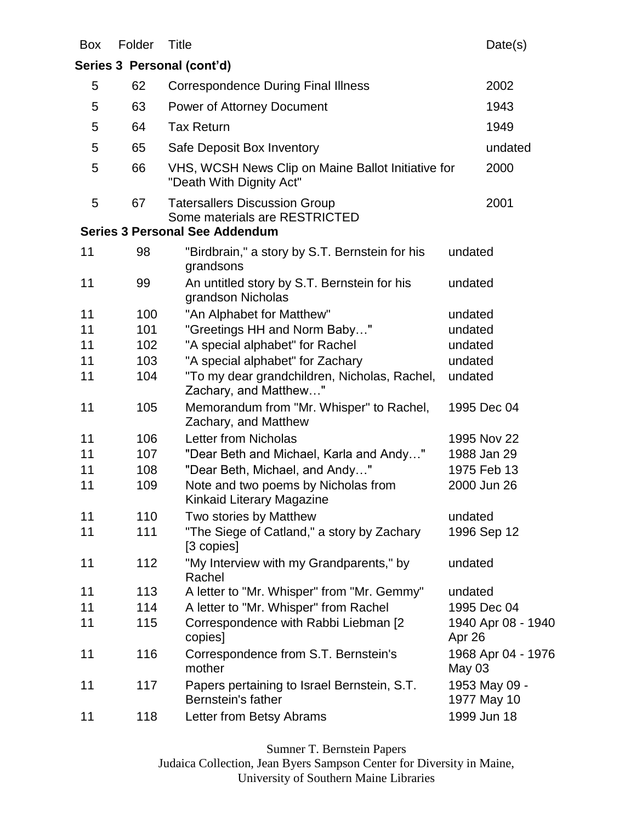| <b>Box</b> | Folder | Title                                                                          | Date(s)                      |
|------------|--------|--------------------------------------------------------------------------------|------------------------------|
|            |        | Series 3 Personal (cont'd)                                                     |                              |
| 5          | 62     | <b>Correspondence During Final Illness</b>                                     | 2002                         |
| 5          | 63     | <b>Power of Attorney Document</b>                                              | 1943                         |
| 5          | 64     | <b>Tax Return</b>                                                              | 1949                         |
| 5          | 65     | Safe Deposit Box Inventory                                                     | undated                      |
| 5          | 66     | VHS, WCSH News Clip on Maine Ballot Initiative for<br>"Death With Dignity Act" | 2000                         |
| 5          | 67     | <b>Tatersallers Discussion Group</b><br>Some materials are RESTRICTED          | 2001                         |
|            |        | <b>Series 3 Personal See Addendum</b>                                          |                              |
| 11         | 98     | "Birdbrain," a story by S.T. Bernstein for his<br>grandsons                    | undated                      |
| 11         | 99     | An untitled story by S.T. Bernstein for his<br>grandson Nicholas               | undated                      |
| 11         | 100    | "An Alphabet for Matthew"                                                      | undated                      |
| 11         | 101    | "Greetings HH and Norm Baby"                                                   | undated                      |
| 11         | 102    | "A special alphabet" for Rachel                                                | undated                      |
| 11         | 103    | "A special alphabet" for Zachary                                               | undated                      |
| 11         | 104    | "To my dear grandchildren, Nicholas, Rachel,<br>Zachary, and Matthew"          | undated                      |
| 11         | 105    | Memorandum from "Mr. Whisper" to Rachel,<br>Zachary, and Matthew               | 1995 Dec 04                  |
| 11         | 106    | Letter from Nicholas                                                           | 1995 Nov 22                  |
| 11         | 107    | "Dear Beth and Michael, Karla and Andy"                                        | 1988 Jan 29                  |
| 11         | 108    | "Dear Beth, Michael, and Andy"                                                 | 1975 Feb 13                  |
| 11         | 109    | Note and two poems by Nicholas from<br>Kinkaid Literary Magazine               | 2000 Jun 26                  |
| 11         | 110    | Two stories by Matthew                                                         | undated                      |
| 11         | 111    | "The Siege of Catland," a story by Zachary<br>[3 copies]                       | 1996 Sep 12                  |
| 11         | 112    | "My Interview with my Grandparents," by<br>Rachel                              | undated                      |
| 11         | 113    | A letter to "Mr. Whisper" from "Mr. Gemmy"                                     | undated                      |
| 11         | 114    | A letter to "Mr. Whisper" from Rachel                                          | 1995 Dec 04                  |
| 11         | 115    | Correspondence with Rabbi Liebman [2<br>copies]                                | 1940 Apr 08 - 1940<br>Apr 26 |
| 11         | 116    | Correspondence from S.T. Bernstein's<br>mother                                 | 1968 Apr 04 - 1976<br>May 03 |
| 11         | 117    | Papers pertaining to Israel Bernstein, S.T.<br>Bernstein's father              | 1953 May 09 -<br>1977 May 10 |
| 11         | 118    | Letter from Betsy Abrams                                                       | 1999 Jun 18                  |

Sumner T. Bernstein Papers

Judaica Collection, Jean Byers Sampson Center for Diversity in Maine, University of Southern Maine Libraries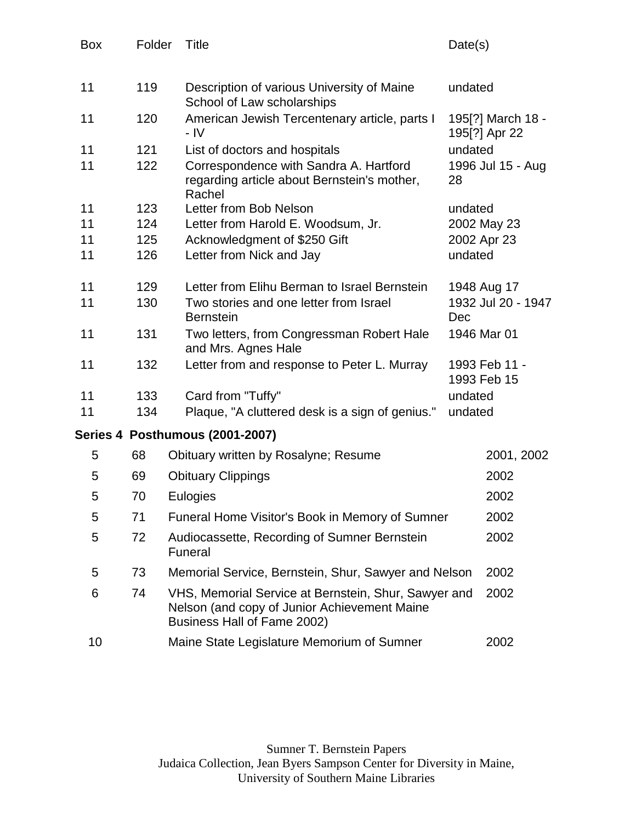| <b>Box</b> | Folder | Title                                                                                                                               | Date(s)                            |  |
|------------|--------|-------------------------------------------------------------------------------------------------------------------------------------|------------------------------------|--|
| 11         | 119    | Description of various University of Maine<br>School of Law scholarships                                                            | undated                            |  |
| 11         | 120    | American Jewish Tercentenary article, parts I<br>- IV                                                                               | 195[?] March 18 -<br>195[?] Apr 22 |  |
| 11         | 121    | List of doctors and hospitals                                                                                                       | undated                            |  |
| 11         | 122    | Correspondence with Sandra A. Hartford<br>regarding article about Bernstein's mother,<br>Rachel                                     | 1996 Jul 15 - Aug<br>28            |  |
| 11         | 123    | Letter from Bob Nelson                                                                                                              | undated                            |  |
| 11         | 124    | Letter from Harold E. Woodsum, Jr.                                                                                                  | 2002 May 23                        |  |
| 11         | 125    | Acknowledgment of \$250 Gift                                                                                                        | 2002 Apr 23                        |  |
| 11         | 126    | Letter from Nick and Jay                                                                                                            | undated                            |  |
| 11         | 129    | Letter from Elihu Berman to Israel Bernstein                                                                                        | 1948 Aug 17                        |  |
| 11         | 130    | Two stories and one letter from Israel<br><b>Bernstein</b>                                                                          | 1932 Jul 20 - 1947<br>Dec          |  |
| 11         | 131    | Two letters, from Congressman Robert Hale<br>and Mrs. Agnes Hale                                                                    | 1946 Mar 01                        |  |
| 11         | 132    | Letter from and response to Peter L. Murray                                                                                         | 1993 Feb 11 -<br>1993 Feb 15       |  |
| 11         | 133    | Card from "Tuffy"                                                                                                                   | undated                            |  |
| 11         | 134    | Plaque, "A cluttered desk is a sign of genius."                                                                                     | undated                            |  |
|            |        | Series 4 Posthumous (2001-2007)                                                                                                     |                                    |  |
| 5          | 68     | Obituary written by Rosalyne; Resume                                                                                                | 2001, 2002                         |  |
| 5          | 69     | <b>Obituary Clippings</b>                                                                                                           | 2002                               |  |
| 5          | 70     | Eulogies                                                                                                                            | 2002                               |  |
| 5          | 71     | Funeral Home Visitor's Book in Memory of Sumner                                                                                     | 2002                               |  |
| 5          | 72     | Audiocassette, Recording of Sumner Bernstein<br>Funeral                                                                             | 2002                               |  |
| 5          | 73     | Memorial Service, Bernstein, Shur, Sawyer and Nelson                                                                                | 2002                               |  |
| 6          | 74     | VHS, Memorial Service at Bernstein, Shur, Sawyer and<br>Nelson (and copy of Junior Achievement Maine<br>Business Hall of Fame 2002) | 2002                               |  |
| 10         |        | Maine State Legislature Memorium of Sumner                                                                                          | 2002                               |  |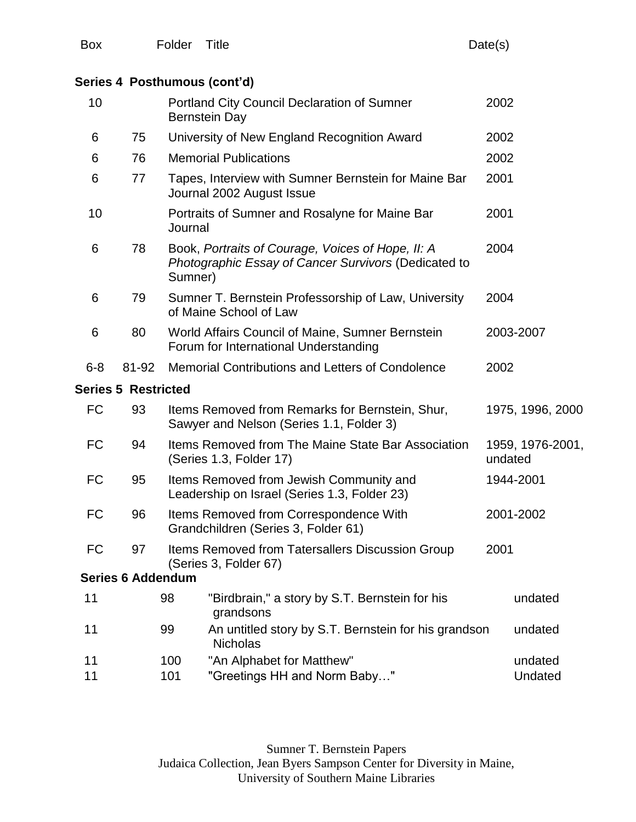# **Series 4 Posthumous (cont'd)**

| 10        |                            |         | <b>Portland City Council Declaration of Sumner</b><br><b>Bernstein Day</b>                                | 2002                        |
|-----------|----------------------------|---------|-----------------------------------------------------------------------------------------------------------|-----------------------------|
| 6         | 75                         |         | University of New England Recognition Award                                                               | 2002                        |
| 6         | 76                         |         | <b>Memorial Publications</b>                                                                              | 2002                        |
| 6         | 77                         |         | Tapes, Interview with Sumner Bernstein for Maine Bar<br>Journal 2002 August Issue                         | 2001                        |
| 10        |                            | Journal | Portraits of Sumner and Rosalyne for Maine Bar                                                            | 2001                        |
| 6         | 78                         | Sumner) | Book, Portraits of Courage, Voices of Hope, II: A<br>Photographic Essay of Cancer Survivors (Dedicated to | 2004                        |
| 6         | 79                         |         | Sumner T. Bernstein Professorship of Law, University<br>of Maine School of Law                            | 2004                        |
| 6         | 80                         |         | World Affairs Council of Maine, Sumner Bernstein<br>Forum for International Understanding                 | 2003-2007                   |
| $6 - 8$   | 81-92                      |         | Memorial Contributions and Letters of Condolence                                                          | 2002                        |
|           | <b>Series 5 Restricted</b> |         |                                                                                                           |                             |
| <b>FC</b> | 93                         |         | Items Removed from Remarks for Bernstein, Shur,<br>Sawyer and Nelson (Series 1.1, Folder 3)               | 1975, 1996, 2000            |
| <b>FC</b> | 94                         |         | Items Removed from The Maine State Bar Association<br>(Series 1.3, Folder 17)                             | 1959, 1976-2001,<br>undated |
| <b>FC</b> | 95                         |         | Items Removed from Jewish Community and<br>Leadership on Israel (Series 1.3, Folder 23)                   | 1944-2001                   |
| <b>FC</b> | 96                         |         | Items Removed from Correspondence With<br>Grandchildren (Series 3, Folder 61)                             | 2001-2002                   |
| FC        | 97                         |         | Items Removed from Tatersallers Discussion Group<br>(Series 3, Folder 67)                                 | 2001                        |
|           | <b>Series 6 Addendum</b>   |         |                                                                                                           |                             |
| 11        |                            | 98      | "Birdbrain," a story by S.T. Bernstein for his<br>grandsons                                               | undated                     |
| 11        |                            | 99      | An untitled story by S.T. Bernstein for his grandson<br><b>Nicholas</b>                                   | undated                     |
| 11        |                            | 100     | "An Alphabet for Matthew"                                                                                 | undated                     |
| 11        |                            | 101     | "Greetings HH and Norm Baby"                                                                              | Undated                     |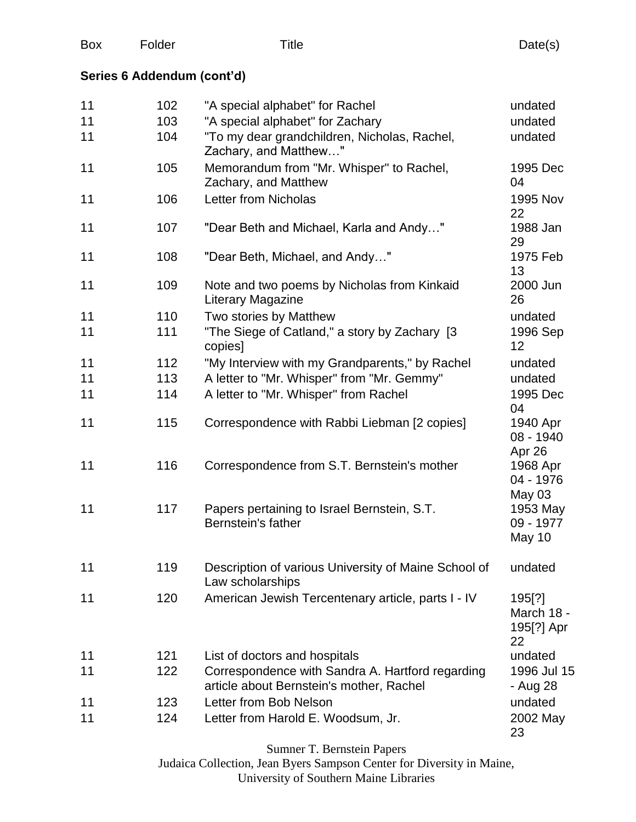|  | <b>Box</b> | Folder | Title | Date(s) |
|--|------------|--------|-------|---------|
|--|------------|--------|-------|---------|

# **Series 6 Addendum (cont'd)**

| 11 | 102 | "A special alphabet" for Rachel                                                              | undated                                  |
|----|-----|----------------------------------------------------------------------------------------------|------------------------------------------|
| 11 | 103 | "A special alphabet" for Zachary                                                             | undated                                  |
| 11 | 104 | "To my dear grandchildren, Nicholas, Rachel,<br>Zachary, and Matthew"                        | undated                                  |
| 11 | 105 | Memorandum from "Mr. Whisper" to Rachel,<br>Zachary, and Matthew                             | 1995 Dec<br>04                           |
| 11 | 106 | <b>Letter from Nicholas</b>                                                                  | 1995 Nov<br>22                           |
| 11 | 107 | "Dear Beth and Michael, Karla and Andy"                                                      | 1988 Jan<br>29                           |
| 11 | 108 | "Dear Beth, Michael, and Andy"                                                               | 1975 Feb<br>13                           |
| 11 | 109 | Note and two poems by Nicholas from Kinkaid<br>Literary Magazine                             | 2000 Jun<br>26                           |
| 11 | 110 | Two stories by Matthew                                                                       | undated                                  |
| 11 | 111 | "The Siege of Catland," a story by Zachary [3<br>copies]                                     | 1996 Sep<br>12                           |
| 11 | 112 | "My Interview with my Grandparents," by Rachel                                               | undated                                  |
| 11 | 113 | A letter to "Mr. Whisper" from "Mr. Gemmy"                                                   | undated                                  |
| 11 | 114 | A letter to "Mr. Whisper" from Rachel                                                        | 1995 Dec<br>04                           |
| 11 | 115 | Correspondence with Rabbi Liebman [2 copies]                                                 | 1940 Apr<br>08 - 1940<br>Apr 26          |
| 11 | 116 | Correspondence from S.T. Bernstein's mother                                                  | 1968 Apr<br>04 - 1976<br><b>May 03</b>   |
| 11 | 117 | Papers pertaining to Israel Bernstein, S.T.<br>Bernstein's father                            | 1953 May<br>09 - 1977<br>May 10          |
| 11 | 119 | Description of various University of Maine School of<br>Law scholarships                     | undated                                  |
| 11 | 120 | American Jewish Tercentenary article, parts I - IV                                           | 195[?]<br>March 18 -<br>195[?] Apr<br>22 |
| 11 | 121 | List of doctors and hospitals                                                                | undated                                  |
| 11 | 122 | Correspondence with Sandra A. Hartford regarding<br>article about Bernstein's mother, Rachel | 1996 Jul 15<br>- Aug 28                  |
| 11 | 123 | Letter from Bob Nelson                                                                       | undated                                  |
| 11 | 124 | Letter from Harold E. Woodsum, Jr.                                                           | 2002 May<br>23                           |
|    |     |                                                                                              |                                          |

Sumner T. Bernstein Papers

Judaica Collection, Jean Byers Sampson Center for Diversity in Maine, University of Southern Maine Libraries